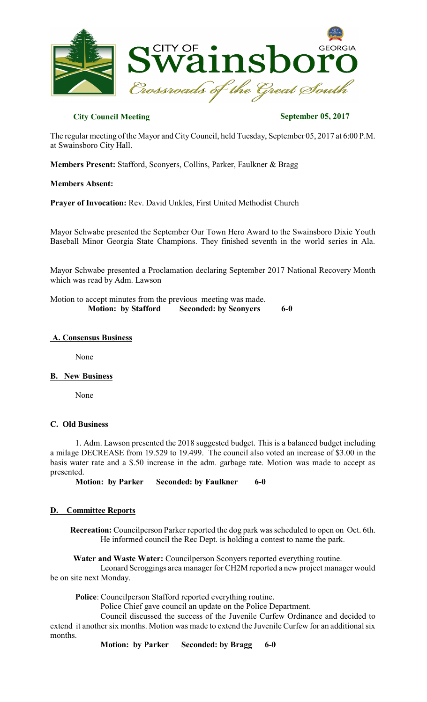

# **City Council Meeting September 05, 2017**

The regular meeting of the Mayor and CityCouncil, held Tuesday, September 05, 2017 at 6:00 P.M. at Swainsboro City Hall.

**Members Present:** Stafford, Sconyers, Collins, Parker, Faulkner & Bragg

**Members Absent:**

**Prayer of Invocation:** Rev. David Unkles, First United Methodist Church

Mayor Schwabe presented the September Our Town Hero Award to the Swainsboro Dixie Youth Baseball Minor Georgia State Champions. They finished seventh in the world series in Ala.

Mayor Schwabe presented a Proclamation declaring September 2017 National Recovery Month which was read by Adm. Lawson

Motion to accept minutes from the previous meeting was made.  **Motion: by Stafford Seconded: by Sconyers 6-0** 

#### **A. Consensus Business**

None

#### **B. New Business**

None

## **C. Old Business**

1. Adm. Lawson presented the 2018 suggested budget. This is a balanced budget including a milage DECREASE from 19.529 to 19.499. The council also voted an increase of \$3.00 in the basis water rate and a \$.50 increase in the adm. garbage rate. Motion was made to accept as presented.

**Motion: by Parker Seconded: by Faulkner 6-0**

## **D. Committee Reports**

**Recreation:** Councilperson Parker reported the dog park wasscheduled to open on Oct. 6th. He informed council the Rec Dept. is holding a contest to name the park.

**Water and Waste Water:** Councilperson Sconyers reported everything routine.

Leonard Scroggings area manager for CH2M reported a new project manager would be on site next Monday.

**Police**: Councilperson Stafford reported everything routine.

Police Chief gave council an update on the Police Department.

Council discussed the success of the Juvenile Curfew Ordinance and decided to extend it another six months. Motion was made to extend the Juvenile Curfew for an additional six months.

**Motion: by Parker Seconded: by Bragg 6-0**